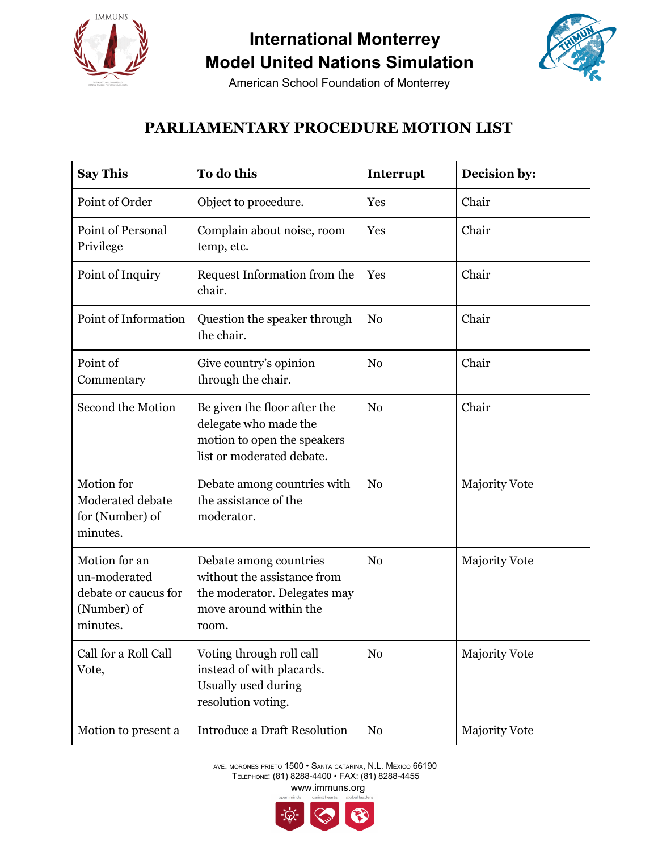

## **International Monterrey Model United Nations Simulation**



American School Foundation of Monterrey

## **PARLIAMENTARY PROCEDURE MOTION LIST**

| <b>Say This</b>                                                                  | To do this                                                                                                               | Interrupt      | Decision by:         |
|----------------------------------------------------------------------------------|--------------------------------------------------------------------------------------------------------------------------|----------------|----------------------|
| Point of Order                                                                   | Object to procedure.                                                                                                     | Yes            | Chair                |
| <b>Point of Personal</b><br>Privilege                                            | Complain about noise, room<br>temp, etc.                                                                                 | Yes            | Chair                |
| Point of Inquiry                                                                 | Request Information from the<br>chair.                                                                                   | Yes            | Chair                |
| Point of Information                                                             | Question the speaker through<br>the chair.                                                                               | N <sub>0</sub> | Chair                |
| Point of<br>Commentary                                                           | Give country's opinion<br>through the chair.                                                                             | N <sub>0</sub> | Chair                |
| Second the Motion                                                                | Be given the floor after the<br>delegate who made the<br>motion to open the speakers<br>list or moderated debate.        | N <sub>0</sub> | Chair                |
| Motion for<br>Moderated debate<br>for (Number) of<br>minutes.                    | Debate among countries with<br>the assistance of the<br>moderator.                                                       | N <sub>0</sub> | <b>Majority Vote</b> |
| Motion for an<br>un-moderated<br>debate or caucus for<br>(Number) of<br>minutes. | Debate among countries<br>without the assistance from<br>the moderator. Delegates may<br>move around within the<br>room. | N <sub>0</sub> | <b>Majority Vote</b> |
| Call for a Roll Call<br>Vote,                                                    | Voting through roll call<br>instead of with placards.<br>Usually used during<br>resolution voting.                       | No             | <b>Majority Vote</b> |
| Motion to present a                                                              | <b>Introduce a Draft Resolution</b>                                                                                      | N <sub>0</sub> | <b>Majority Vote</b> |

AVE. MORONES PRIETO 1500 • SANTA CATARINA, N.L. MÉXICO 66190 TELEPHONE: (81) 8288-4400 • FAX: (81) 8288-4455 www.immuns.org

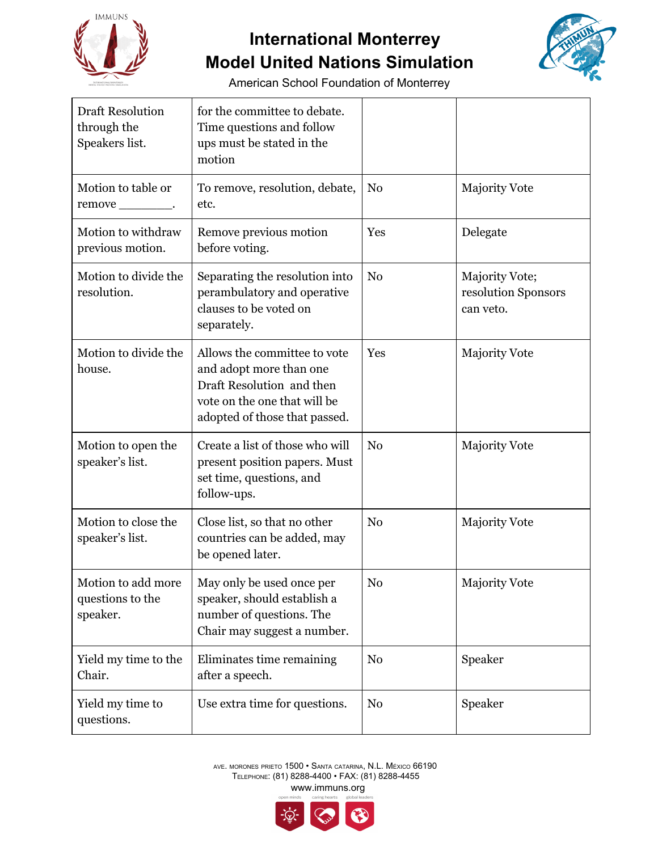

## **International Monterrey Model United Nations Simulation**



American School Foundation of Monterrey

| <b>Draft Resolution</b><br>through the<br>Speakers list. | for the committee to debate.<br>Time questions and follow<br>ups must be stated in the<br>motion                                                      |                |                                                    |
|----------------------------------------------------------|-------------------------------------------------------------------------------------------------------------------------------------------------------|----------------|----------------------------------------------------|
| Motion to table or<br>remove ___________.                | To remove, resolution, debate,<br>etc.                                                                                                                | N <sub>0</sub> | <b>Majority Vote</b>                               |
| Motion to withdraw<br>previous motion.                   | Remove previous motion<br>before voting.                                                                                                              | Yes            | Delegate                                           |
| Motion to divide the<br>resolution.                      | Separating the resolution into<br>perambulatory and operative<br>clauses to be voted on<br>separately.                                                | N <sub>0</sub> | Majority Vote;<br>resolution Sponsors<br>can veto. |
| Motion to divide the<br>house.                           | Allows the committee to vote<br>and adopt more than one<br>Draft Resolution and then<br>vote on the one that will be<br>adopted of those that passed. | Yes            | <b>Majority Vote</b>                               |
| Motion to open the<br>speaker's list.                    | Create a list of those who will<br>present position papers. Must<br>set time, questions, and<br>follow-ups.                                           | N <sub>0</sub> | <b>Majority Vote</b>                               |
| Motion to close the<br>speaker's list.                   | Close list, so that no other<br>countries can be added, may<br>be opened later.                                                                       | N <sub>0</sub> | <b>Majority Vote</b>                               |
| Motion to add more<br>questions to the<br>speaker.       | May only be used once per<br>speaker, should establish a<br>number of questions. The<br>Chair may suggest a number.                                   | N <sub>0</sub> | <b>Majority Vote</b>                               |
| Yield my time to the<br>Chair.                           | Eliminates time remaining<br>after a speech.                                                                                                          | N <sub>0</sub> | Speaker                                            |
| Yield my time to<br>questions.                           | Use extra time for questions.                                                                                                                         | N <sub>0</sub> | Speaker                                            |